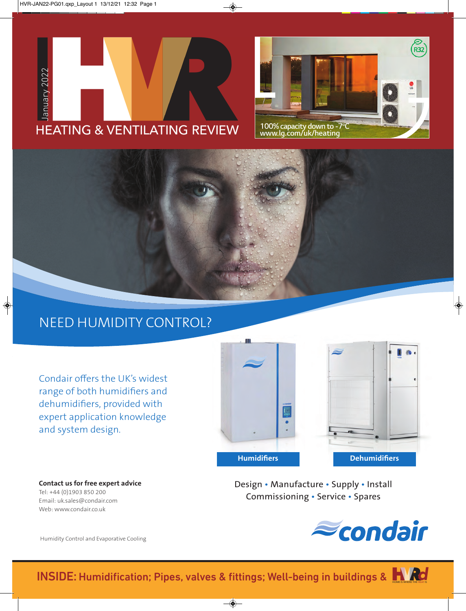





## NEED HUMIDITY CONTROL?

Condair offers the UK's widest range of both humidifiers and dehumidifiers, provided with expert application knowledge and system design.



**Contact us for free expert advice**  Tel: +44 (0)1903 850 200 Email: uk.sales@condair.com Web: www.condair.co.uk

Design • Manufacture • Supply • Install Commissioning • Service • Spares



Humidity Control and Evaporative Cooling

**INSIDE: Humidification; Pipes, valves & fittings; Well-being in buildings & HAMP OF**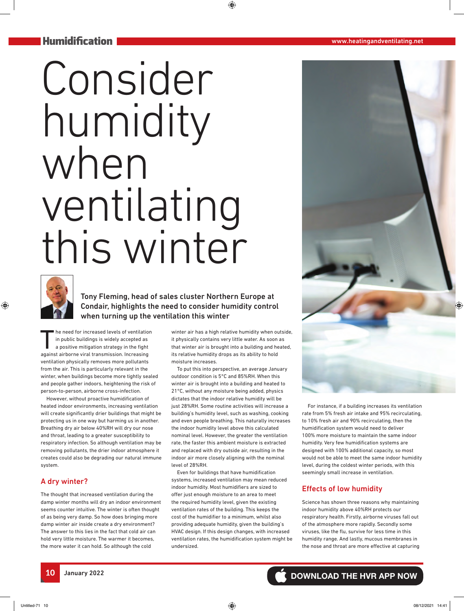#### Humidification

# Consider humidity when ventilating this winter



Tony Fleming, head of sales cluster Northern Europe at Condair, highlights the need to consider humidity control when turning up the ventilation this winter

The need for increased levels of ventilation<br>in public buildings is widely accepted as<br>a positive mitigation strategy in the fight in public buildings is widely accepted as a positive mitigation strategy in the fight against airborne viral transmission. Increasing ventilation physically removes more pollutants from the air. This is particularly relevant in the winter, when buildings become more tightly sealed and people gather indoors, heightening the risk of person-to-person, airborne cross-infection.

However, without proactive humidification of heated indoor environments, increasing ventilation will create significantly drier buildings that might be protecting us in one way but harming us in another. Breathing dry air below 40%RH will dry our nose and throat, leading to a greater susceptibility to respiratory infection. So although ventilation may be removing pollutants, the drier indoor atmosphere it creates could also be degrading our natural immune system.

#### A dry winter?

The thought that increased ventilation during the damp winter months will dry an indoor environment seems counter intuitive. The winter is often thought of as being very damp. So how does bringing more damp winter air inside create a dry environment? The answer to this lies in the fact that cold air can hold very little moisture. The warmer it becomes, the more water it can hold. So although the cold

winter air has a high relative humidity when outside, it physically contains very little water. As soon as that winter air is brought into a building and heated, its relative humidity drops as its ability to hold moisture increases.

To put this into perspective, an average January outdoor condition is 5°C and 85%RH. When this winter air is brought into a building and heated to 21°C, without any moisture being added, physics dictates that the indoor relative humidity will be just 28%RH. Some routine activities will increase a building's humidity level, such as washing, cooking and even people breathing. This naturally increases the indoor humidity level above this calculated nominal level. However, the greater the ventilation rate, the faster this ambient moisture is extracted and replaced with dry outside air, resulting in the indoor air more closely aligning with the nominal level of 28%RH.

Even for buildings that have humidification systems, increased ventilation may mean reduced indoor humidity. Most humidifiers are sized to offer just enough moisture to an area to meet the required humidity level, given the existing ventilation rates of the building. This keeps the cost of the humidifier to a minimum, whilst also providing adequate humidity, given the building's HVAC design. If this design changes, with increased ventilation rates, the humidification system might be undersized.

For instance, if a building increases its ventilation rate from 5% fresh air intake and 95% recirculating, to 10% fresh air and 90% recirculating, then the humidification system would need to deliver 100% more moisture to maintain the same indoor humidity. Very few humidification systems are designed with 100% additional capacity, so most would not be able to meet the same indoor humidity level, during the coldest winter periods, with this seemingly small increase in ventilation.

#### Effects of low humidity

Science has shown three reasons why maintaining indoor humidity above 40%RH protects our respiratory health. Firstly, airborne viruses fall out of the atmosphere more rapidly. Secondly some viruses, like the flu, survive for less time in this humidity range. And lastly, mucous membranes in the nose and throat are more effective at capturing

**10** January 2022 **DOWNLOAD THE HVR APP NOW**